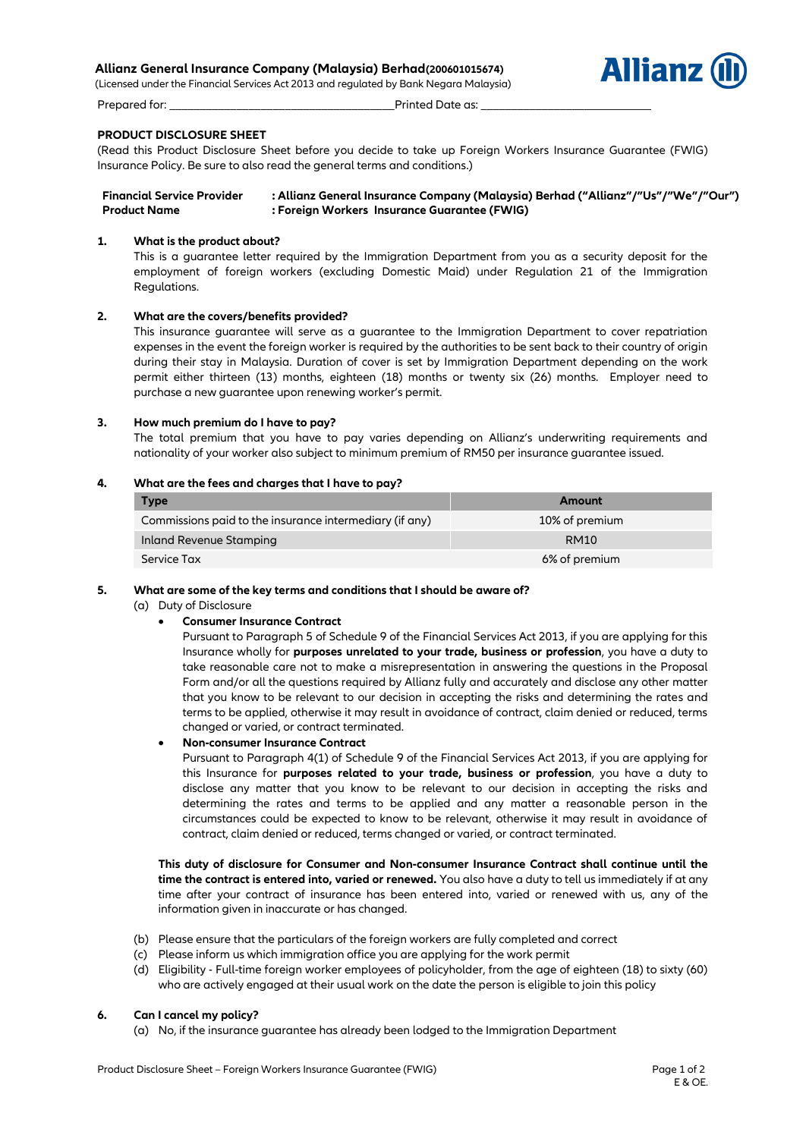## **Allianz General Insurance Company (Malaysia) Berhad(200601015674)**

(Licensed under the Financial Services Act 2013 and regulated by Bank Negara Malaysia)



**Allianz** 



(Read this Product Disclosure Sheet before you decide to take up Foreign Workers Insurance Guarantee (FWIG) Insurance Policy. Be sure to also read the general terms and conditions.)

**Financial Service Provider : Allianz General Insurance Company (Malaysia) Berhad ("Allianz"/"Us"/"We"/"Our") Product Name : Foreign Workers Insurance Guarantee (FWIG)**

### **1. What is the product about?**

This is a guarantee letter required by the Immigration Department from you as a security deposit for the employment of foreign workers (excluding Domestic Maid) under Regulation 21 of the Immigration Regulations.

# **2. What are the covers/benefits provided?**

This insurance guarantee will serve as a guarantee to the Immigration Department to cover repatriation expenses in the event the foreign worker is required by the authorities to be sent back to their country of origin during their stay in Malaysia. Duration of cover is set by Immigration Department depending on the work permit either thirteen (13) months, eighteen (18) months or twenty six (26) months. Employer need to purchase a new guarantee upon renewing worker's permit.

#### **3. How much premium do I have to pay?**

The total premium that you have to pay varies depending on Allianz's underwriting requirements and nationality of your worker also subject to minimum premium of RM50 per insurance guarantee issued.

#### **4. What are the fees and charges that I have to pay?**

| <b>Type</b>                                             | Amount         |
|---------------------------------------------------------|----------------|
| Commissions paid to the insurance intermediary (if any) | 10% of premium |
| Inland Revenue Stamping                                 | RM10           |
| Service Tax                                             | 6% of premium  |

#### **5. What are some of the key terms and conditions that I should be aware of?**

(a) Duty of Disclosure

### **Consumer Insurance Contract**

Pursuant to Paragraph 5 of Schedule 9 of the Financial Services Act 2013, if you are applying for this Insurance wholly for **purposes unrelated to your trade, business or profession**, you have a duty to take reasonable care not to make a misrepresentation in answering the questions in the Proposal Form and/or all the questions required by Allianz fully and accurately and disclose any other matter that you know to be relevant to our decision in accepting the risks and determining the rates and terms to be applied, otherwise it may result in avoidance of contract, claim denied or reduced, terms changed or varied, or contract terminated.

### **Non-consumer Insurance Contract**

Pursuant to Paragraph 4(1) of Schedule 9 of the Financial Services Act 2013, if you are applying for this Insurance for **purposes related to your trade, business or profession**, you have a duty to disclose any matter that you know to be relevant to our decision in accepting the risks and determining the rates and terms to be applied and any matter a reasonable person in the circumstances could be expected to know to be relevant, otherwise it may result in avoidance of contract, claim denied or reduced, terms changed or varied, or contract terminated.

**This duty of disclosure for Consumer and Non-consumer Insurance Contract shall continue until the time the contract is entered into, varied or renewed.** You also have a duty to tell us immediately if at any time after your contract of insurance has been entered into, varied or renewed with us, any of the information given in inaccurate or has changed.

- (b) Please ensure that the particulars of the foreign workers are fully completed and correct
- (c) Please inform us which immigration office you are applying for the work permit
- (d) Eligibility Full-time foreign worker employees of policyholder, from the age of eighteen (18) to sixty (60) who are actively engaged at their usual work on the date the person is eligible to join this policy

### **6. Can I cancel my policy?**

(a) No, if the insurance guarantee has already been lodged to the Immigration Department